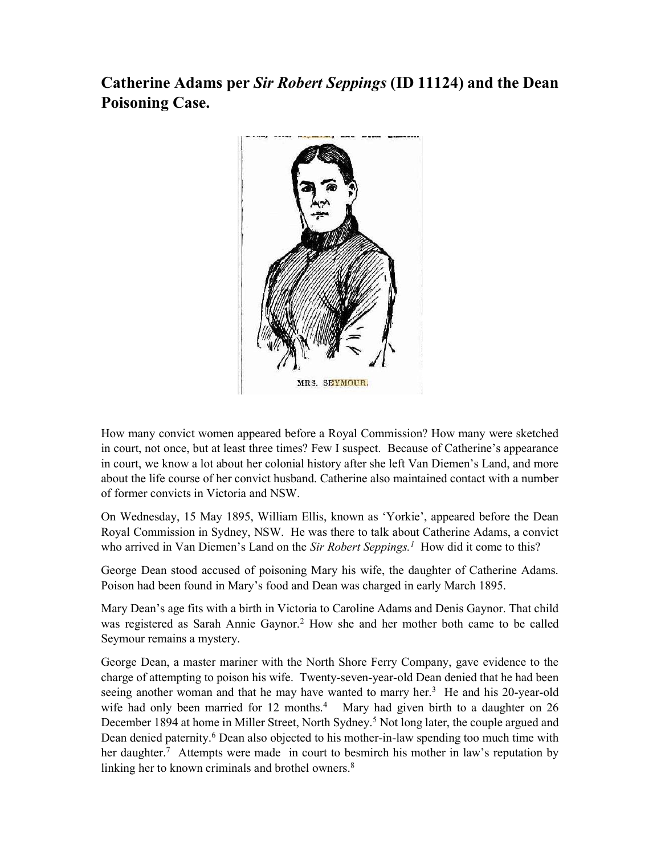## Catherine Adams per Sir Robert Seppings (ID 11124) and the Dean Poisoning Case.



How many convict women appeared before a Royal Commission? How many were sketched in court, not once, but at least three times? Few I suspect. Because of Catherine's appearance in court, we know a lot about her colonial history after she left Van Diemen's Land, and more about the life course of her convict husband. Catherine also maintained contact with a number of former convicts in Victoria and NSW.

On Wednesday, 15 May 1895, William Ellis, known as 'Yorkie', appeared before the Dean Royal Commission in Sydney, NSW. He was there to talk about Catherine Adams, a convict who arrived in Van Diemen's Land on the Sir Robert Seppings.<sup>1</sup> How did it come to this?

George Dean stood accused of poisoning Mary his wife, the daughter of Catherine Adams. Poison had been found in Mary's food and Dean was charged in early March 1895.

Mary Dean's age fits with a birth in Victoria to Caroline Adams and Denis Gaynor. That child was registered as Sarah Annie Gaynor.<sup>2</sup> How she and her mother both came to be called Seymour remains a mystery.

George Dean, a master mariner with the North Shore Ferry Company, gave evidence to the charge of attempting to poison his wife. Twenty-seven-year-old Dean denied that he had been seeing another woman and that he may have wanted to marry her. $3$  He and his 20-year-old wife had only been married for 12 months.<sup>4</sup> Mary had given birth to a daughter on 26 December 1894 at home in Miller Street, North Sydney.<sup>5</sup> Not long later, the couple argued and Dean denied paternity.<sup>6</sup> Dean also objected to his mother-in-law spending too much time with her daughter.<sup>7</sup> Attempts were made in court to besmirch his mother in law's reputation by linking her to known criminals and brothel owners.<sup>8</sup>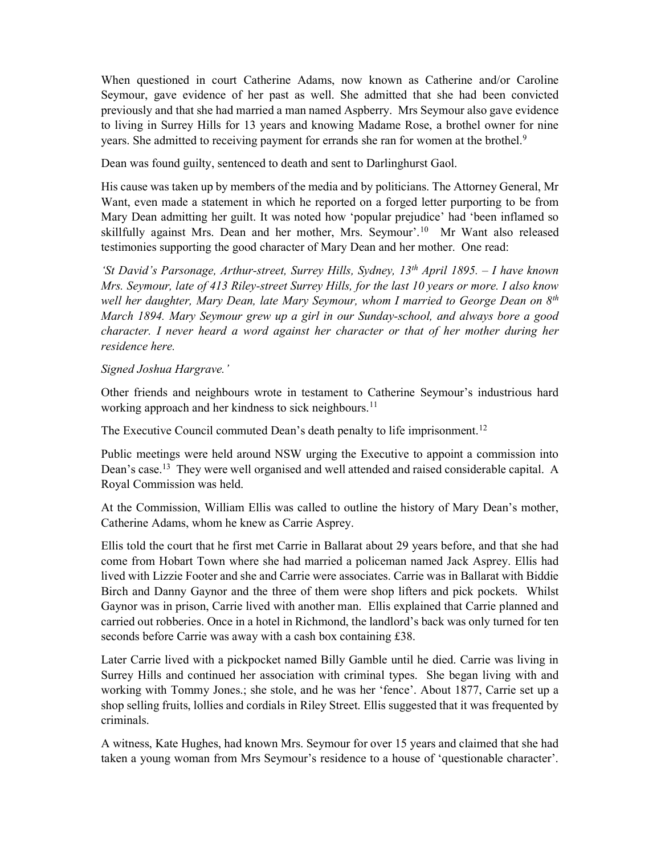When questioned in court Catherine Adams, now known as Catherine and/or Caroline Seymour, gave evidence of her past as well. She admitted that she had been convicted previously and that she had married a man named Aspberry. Mrs Seymour also gave evidence to living in Surrey Hills for 13 years and knowing Madame Rose, a brothel owner for nine years. She admitted to receiving payment for errands she ran for women at the brothel.<sup>9</sup>

Dean was found guilty, sentenced to death and sent to Darlinghurst Gaol.

His cause was taken up by members of the media and by politicians. The Attorney General, Mr Want, even made a statement in which he reported on a forged letter purporting to be from Mary Dean admitting her guilt. It was noted how 'popular prejudice' had 'been inflamed so skillfully against Mrs. Dean and her mother, Mrs. Seymour'.<sup>10</sup> Mr Want also released testimonies supporting the good character of Mary Dean and her mother. One read:

'St David's Parsonage, Arthur-street, Surrey Hills, Sydney,  $13<sup>th</sup>$  April 1895. – I have known Mrs. Seymour, late of 413 Riley-street Surrey Hills, for the last 10 years or more. I also know well her daughter, Mary Dean, late Mary Seymour, whom I married to George Dean on  $8<sup>th</sup>$ March 1894. Mary Seymour grew up a girl in our Sunday-school, and always bore a good character. I never heard a word against her character or that of her mother during her residence here.

## Signed Joshua Hargrave.'

Other friends and neighbours wrote in testament to Catherine Seymour's industrious hard working approach and her kindness to sick neighbours.<sup>11</sup>

The Executive Council commuted Dean's death penalty to life imprisonment.<sup>12</sup>

Public meetings were held around NSW urging the Executive to appoint a commission into Dean's case.<sup>13</sup> They were well organised and well attended and raised considerable capital. A Royal Commission was held.

At the Commission, William Ellis was called to outline the history of Mary Dean's mother, Catherine Adams, whom he knew as Carrie Asprey.

Ellis told the court that he first met Carrie in Ballarat about 29 years before, and that she had come from Hobart Town where she had married a policeman named Jack Asprey. Ellis had lived with Lizzie Footer and she and Carrie were associates. Carrie was in Ballarat with Biddie Birch and Danny Gaynor and the three of them were shop lifters and pick pockets. Whilst Gaynor was in prison, Carrie lived with another man. Ellis explained that Carrie planned and carried out robberies. Once in a hotel in Richmond, the landlord's back was only turned for ten seconds before Carrie was away with a cash box containing £38.

Later Carrie lived with a pickpocket named Billy Gamble until he died. Carrie was living in Surrey Hills and continued her association with criminal types. She began living with and working with Tommy Jones.; she stole, and he was her 'fence'. About 1877, Carrie set up a shop selling fruits, lollies and cordials in Riley Street. Ellis suggested that it was frequented by criminals.

A witness, Kate Hughes, had known Mrs. Seymour for over 15 years and claimed that she had taken a young woman from Mrs Seymour's residence to a house of 'questionable character'.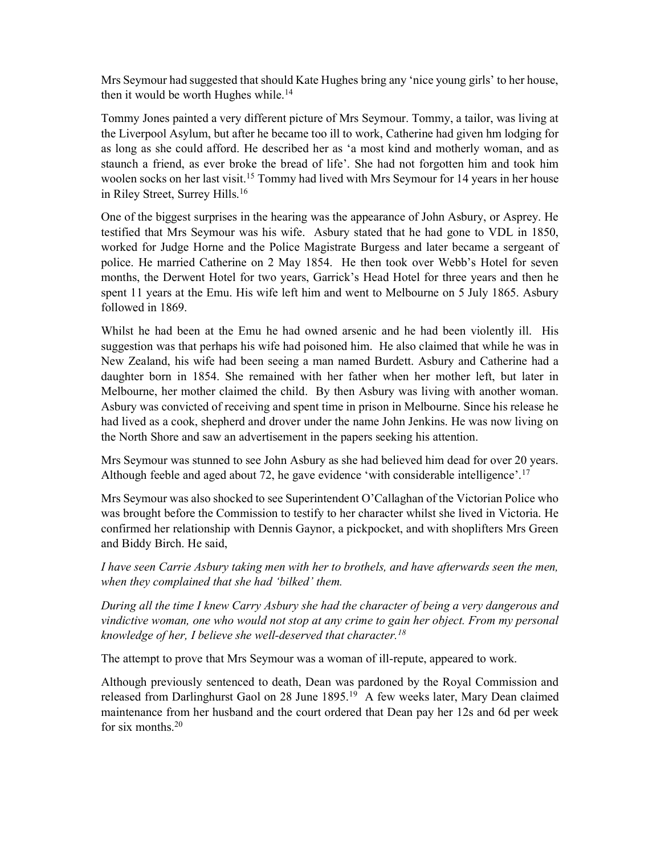Mrs Seymour had suggested that should Kate Hughes bring any 'nice young girls' to her house, then it would be worth Hughes while.<sup>14</sup>

Tommy Jones painted a very different picture of Mrs Seymour. Tommy, a tailor, was living at the Liverpool Asylum, but after he became too ill to work, Catherine had given hm lodging for as long as she could afford. He described her as 'a most kind and motherly woman, and as staunch a friend, as ever broke the bread of life'. She had not forgotten him and took him woolen socks on her last visit.<sup>15</sup> Tommy had lived with Mrs Seymour for 14 years in her house in Riley Street, Surrey Hills.<sup>16</sup>

One of the biggest surprises in the hearing was the appearance of John Asbury, or Asprey. He testified that Mrs Seymour was his wife. Asbury stated that he had gone to VDL in 1850, worked for Judge Horne and the Police Magistrate Burgess and later became a sergeant of police. He married Catherine on 2 May 1854. He then took over Webb's Hotel for seven months, the Derwent Hotel for two years, Garrick's Head Hotel for three years and then he spent 11 years at the Emu. His wife left him and went to Melbourne on 5 July 1865. Asbury followed in 1869.

Whilst he had been at the Emu he had owned arsenic and he had been violently ill. His suggestion was that perhaps his wife had poisoned him. He also claimed that while he was in New Zealand, his wife had been seeing a man named Burdett. Asbury and Catherine had a daughter born in 1854. She remained with her father when her mother left, but later in Melbourne, her mother claimed the child. By then Asbury was living with another woman. Asbury was convicted of receiving and spent time in prison in Melbourne. Since his release he had lived as a cook, shepherd and drover under the name John Jenkins. He was now living on the North Shore and saw an advertisement in the papers seeking his attention.

Mrs Seymour was stunned to see John Asbury as she had believed him dead for over 20 years. Although feeble and aged about 72, he gave evidence 'with considerable intelligence'.<sup>17</sup>

Mrs Seymour was also shocked to see Superintendent O'Callaghan of the Victorian Police who was brought before the Commission to testify to her character whilst she lived in Victoria. He confirmed her relationship with Dennis Gaynor, a pickpocket, and with shoplifters Mrs Green and Biddy Birch. He said,

I have seen Carrie Asbury taking men with her to brothels, and have afterwards seen the men, when they complained that she had 'bilked' them.

During all the time I knew Carry Asbury she had the character of being a very dangerous and vindictive woman, one who would not stop at any crime to gain her object. From my personal knowledge of her, I believe she well-deserved that character.<sup>18</sup>

The attempt to prove that Mrs Seymour was a woman of ill-repute, appeared to work.

Although previously sentenced to death, Dean was pardoned by the Royal Commission and released from Darlinghurst Gaol on 28 June 1895.<sup>19</sup> A few weeks later, Mary Dean claimed maintenance from her husband and the court ordered that Dean pay her 12s and 6d per week for six months.<sup>20</sup>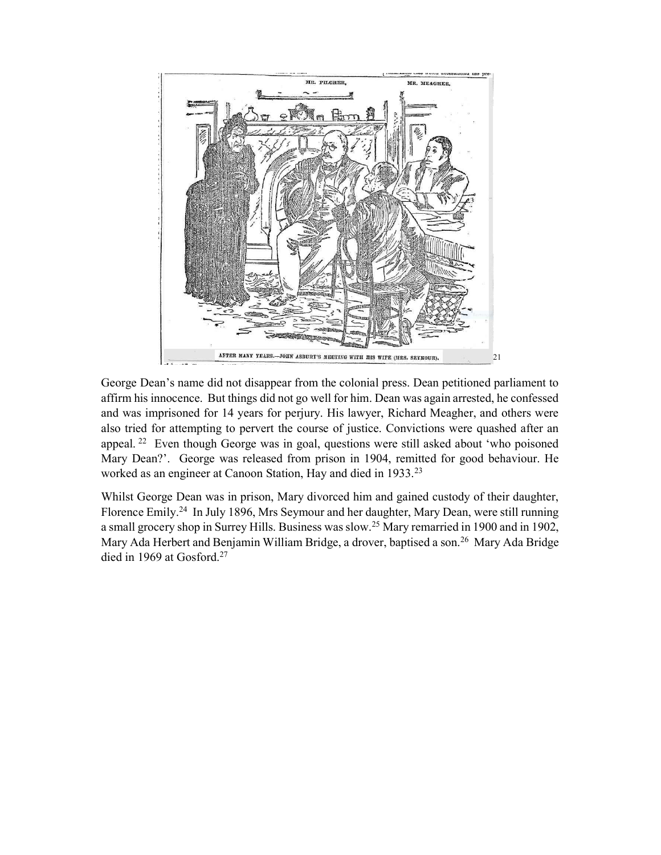

George Dean's name did not disappear from the colonial press. Dean petitioned parliament to affirm his innocence. But things did not go well for him. Dean was again arrested, he confessed and was imprisoned for 14 years for perjury. His lawyer, Richard Meagher, and others were also tried for attempting to pervert the course of justice. Convictions were quashed after an appeal.<sup>22</sup> Even though George was in goal, questions were still asked about 'who poisoned Mary Dean?'. George was released from prison in 1904, remitted for good behaviour. He worked as an engineer at Canoon Station, Hay and died in 1933.<sup>23</sup>

Whilst George Dean was in prison, Mary divorced him and gained custody of their daughter, Florence Emily.<sup>24</sup> In July 1896, Mrs Seymour and her daughter, Mary Dean, were still running a small grocery shop in Surrey Hills. Business was slow.<sup>25</sup> Mary remarried in 1900 and in 1902, Mary Ada Herbert and Benjamin William Bridge, a drover, baptised a son.<sup>26</sup> Mary Ada Bridge died in 1969 at Gosford.<sup>27</sup>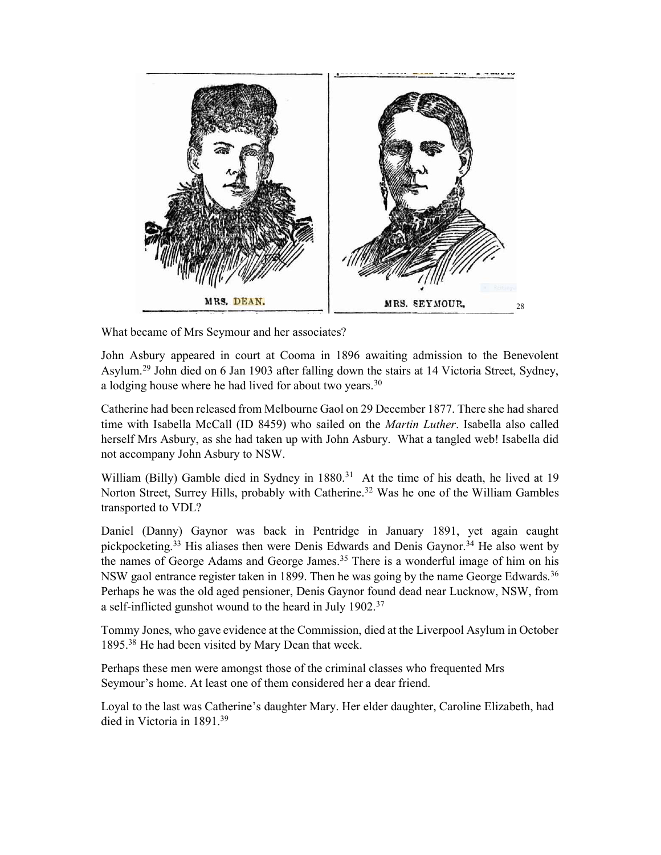

What became of Mrs Seymour and her associates?

John Asbury appeared in court at Cooma in 1896 awaiting admission to the Benevolent Asylum.<sup>29</sup> John died on 6 Jan 1903 after falling down the stairs at 14 Victoria Street, Sydney, a lodging house where he had lived for about two years.<sup>30</sup>

Catherine had been released from Melbourne Gaol on 29 December 1877. There she had shared time with Isabella McCall (ID 8459) who sailed on the *Martin Luther*. Isabella also called herself Mrs Asbury, as she had taken up with John Asbury. What a tangled web! Isabella did not accompany John Asbury to NSW.

William (Billy) Gamble died in Sydney in 1880.<sup>31</sup> At the time of his death, he lived at 19 Norton Street, Surrey Hills, probably with Catherine.<sup>32</sup> Was he one of the William Gambles transported to VDL?

Daniel (Danny) Gaynor was back in Pentridge in January 1891, yet again caught pickpocketing.<sup>33</sup> His aliases then were Denis Edwards and Denis Gaynor.<sup>34</sup> He also went by the names of George Adams and George James.<sup>35</sup> There is a wonderful image of him on his NSW gaol entrance register taken in 1899. Then he was going by the name George Edwards.<sup>36</sup> Perhaps he was the old aged pensioner, Denis Gaynor found dead near Lucknow, NSW, from a self-inflicted gunshot wound to the heard in July 1902.<sup>37</sup>

Tommy Jones, who gave evidence at the Commission, died at the Liverpool Asylum in October 1895.<sup>38</sup> He had been visited by Mary Dean that week.

Perhaps these men were amongst those of the criminal classes who frequented Mrs Seymour's home. At least one of them considered her a dear friend.

Loyal to the last was Catherine's daughter Mary. Her elder daughter, Caroline Elizabeth, had died in Victoria in 1891.<sup>39</sup>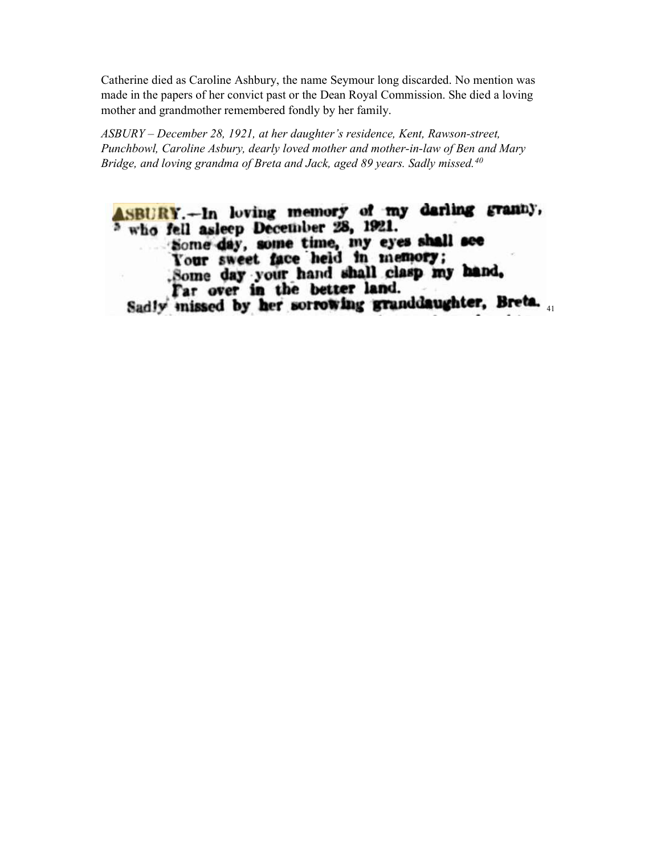Catherine died as Caroline Ashbury, the name Seymour long discarded. No mention was made in the papers of her convict past or the Dean Royal Commission. She died a loving mother and grandmother remembered fondly by her family.

ASBURY – December 28, 1921, at her daughter's residence, Kent, Rawson-street, Punchbowl, Caroline Asbury, dearly loved mother and mother-in-law of Ben and Mary Bridge, and loving grandma of Breta and Jack, aged 89 years. Sadly missed.<sup>40</sup>

ASBURY.-In loving memory of my darling granny, who fell asleep December 28, 1921. Some day, some time, my eyes shall see Some day your hand shall clasp my hand. Far over in the better land. Sadly missed by her sorrowing granddaughter, Breta.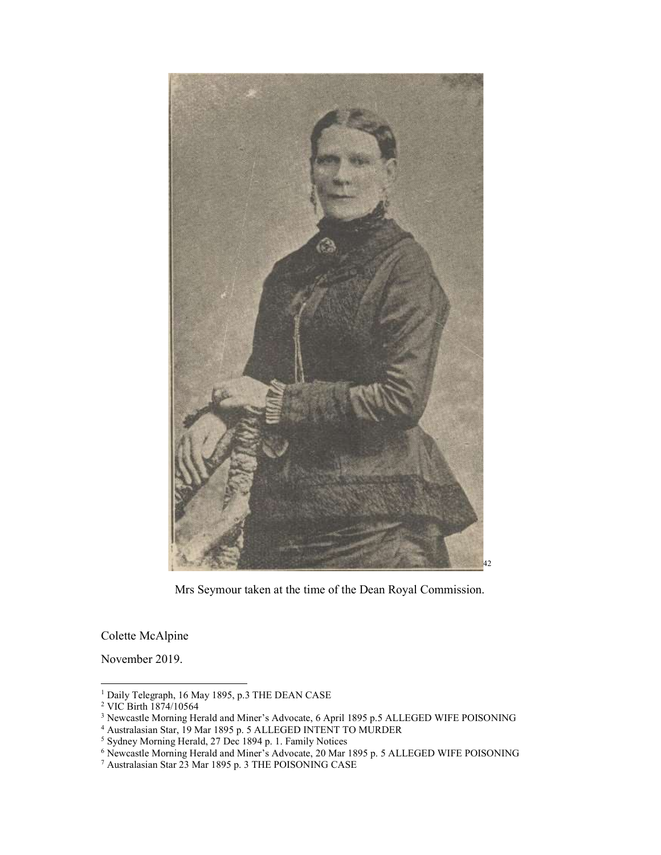

Mrs Seymour taken at the time of the Dean Royal Commission.

Colette McAlpine

November 2019.

1

<sup>1</sup> Daily Telegraph, 16 May 1895, p.3 THE DEAN CASE 2 VIC Birth 1874/10564

<sup>&</sup>lt;sup>3</sup> Newcastle Morning Herald and Miner's Advocate, 6 April 1895 p.5 ALLEGED WIFE POISONING<br><sup>4</sup> Australasian Star, 19 Mar 1895 p. 5 ALLEGED INTENT TO MURDER<br><sup>5</sup> Sydney Morning Herald, 27 Dec 1894 p. 1. Family Notices<br><sup>6</sup> N